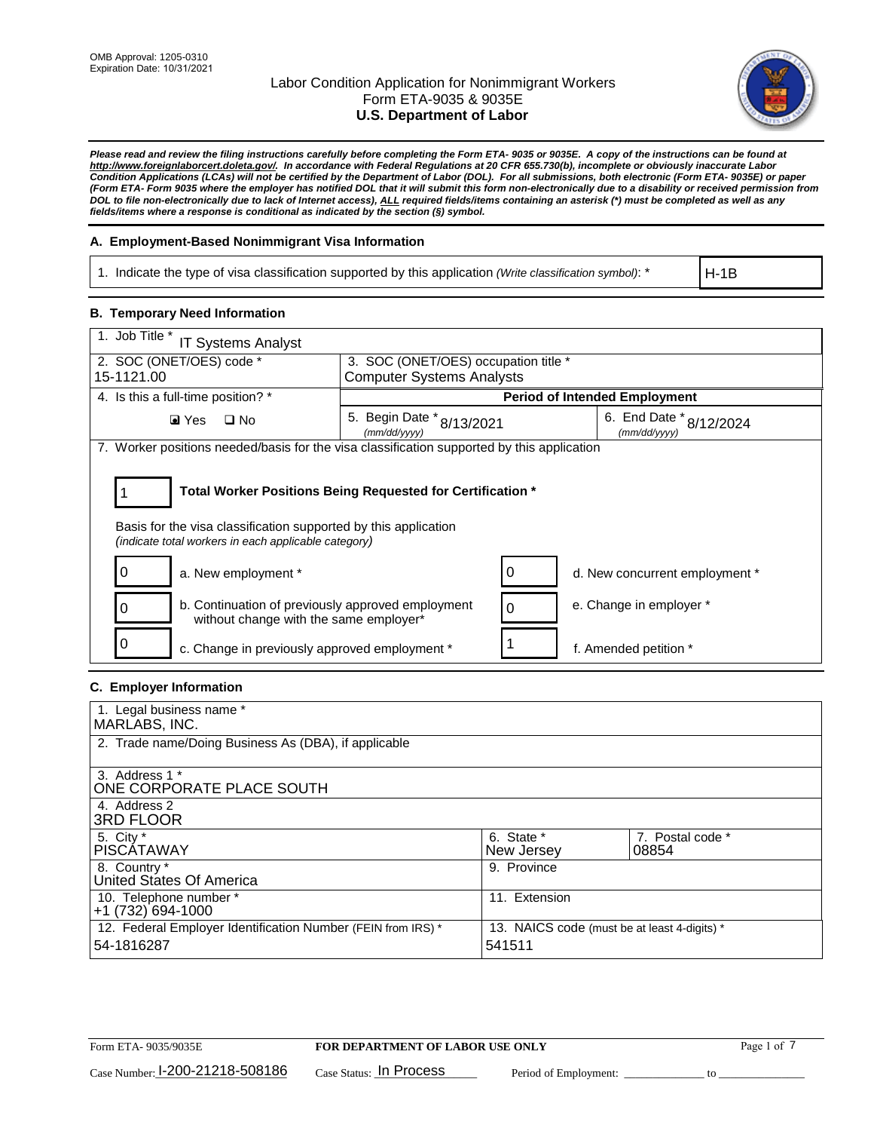

*Please read and review the filing instructions carefully before completing the Form ETA- 9035 or 9035E. A copy of the instructions can be found at http://www.foreignlaborcert.doleta.gov/. In accordance with Federal Regulations at 20 CFR 655.730(b), incomplete or obviously inaccurate Labor Condition Applications (LCAs) will not be certified by the Department of Labor (DOL). For all submissions, both electronic (Form ETA- 9035E) or paper (Form ETA- Form 9035 where the employer has notified DOL that it will submit this form non-electronically due to a disability or received permission from DOL to file non-electronically due to lack of Internet access), ALL required fields/items containing an asterisk (\*) must be completed as well as any fields/items where a response is conditional as indicated by the section (§) symbol.* 

## **A. Employment-Based Nonimmigrant Visa Information**

1. Indicate the type of visa classification supported by this application *(Write classification symbol)*: \*

H-1B

### **B. Temporary Need Information**

| 1. Job Title *<br><b>IT Systems Analyst</b>                                                                             |                                               |                                             |  |  |  |
|-------------------------------------------------------------------------------------------------------------------------|-----------------------------------------------|---------------------------------------------|--|--|--|
| 2. SOC (ONET/OES) code *                                                                                                |                                               | 3. SOC (ONET/OES) occupation title *        |  |  |  |
| 15-1121.00                                                                                                              | <b>Computer Systems Analysts</b>              |                                             |  |  |  |
| 4. Is this a full-time position? *                                                                                      |                                               | <b>Period of Intended Employment</b>        |  |  |  |
| $\Box$ No<br>$\blacksquare$ Yes                                                                                         | 5. Begin Date $*_{8/13/2021}$<br>(mm/dd/yyyy) | 6. End Date $*_{8/12/2024}$<br>(mm/dd/yyyy) |  |  |  |
| 7. Worker positions needed/basis for the visa classification supported by this application                              |                                               |                                             |  |  |  |
|                                                                                                                         |                                               |                                             |  |  |  |
| Total Worker Positions Being Requested for Certification *                                                              |                                               |                                             |  |  |  |
| Basis for the visa classification supported by this application<br>(indicate total workers in each applicable category) |                                               |                                             |  |  |  |
| 0<br>a. New employment *                                                                                                | 0                                             | d. New concurrent employment *              |  |  |  |
| b. Continuation of previously approved employment<br>0<br>without change with the same employer*                        | $\Omega$                                      | e. Change in employer *                     |  |  |  |
| 0<br>c. Change in previously approved employment *                                                                      |                                               | f. Amended petition *                       |  |  |  |

## **C. Employer Information**

| 1. Legal business name *                                     |                                              |                  |  |
|--------------------------------------------------------------|----------------------------------------------|------------------|--|
| MARLABS, INC.                                                |                                              |                  |  |
| 2. Trade name/Doing Business As (DBA), if applicable         |                                              |                  |  |
|                                                              |                                              |                  |  |
| 3. Address 1 *                                               |                                              |                  |  |
| ONE CORPORATE PLACE SOUTH                                    |                                              |                  |  |
| 4. Address 2                                                 |                                              |                  |  |
| <b>3RD FLOOR</b>                                             |                                              |                  |  |
| 5. City *                                                    | 6. State *                                   | 7. Postal code * |  |
| <b>PISCATAWAY</b>                                            | New Jersey                                   | 08854            |  |
| 8. Country *                                                 | 9. Province                                  |                  |  |
| United States Of America                                     |                                              |                  |  |
| 10. Telephone number *                                       | 11. Extension                                |                  |  |
| +1 (732) 694-1000                                            |                                              |                  |  |
| 12. Federal Employer Identification Number (FEIN from IRS) * | 13. NAICS code (must be at least 4-digits) * |                  |  |
| 54-1816287                                                   | 541511                                       |                  |  |
|                                                              |                                              |                  |  |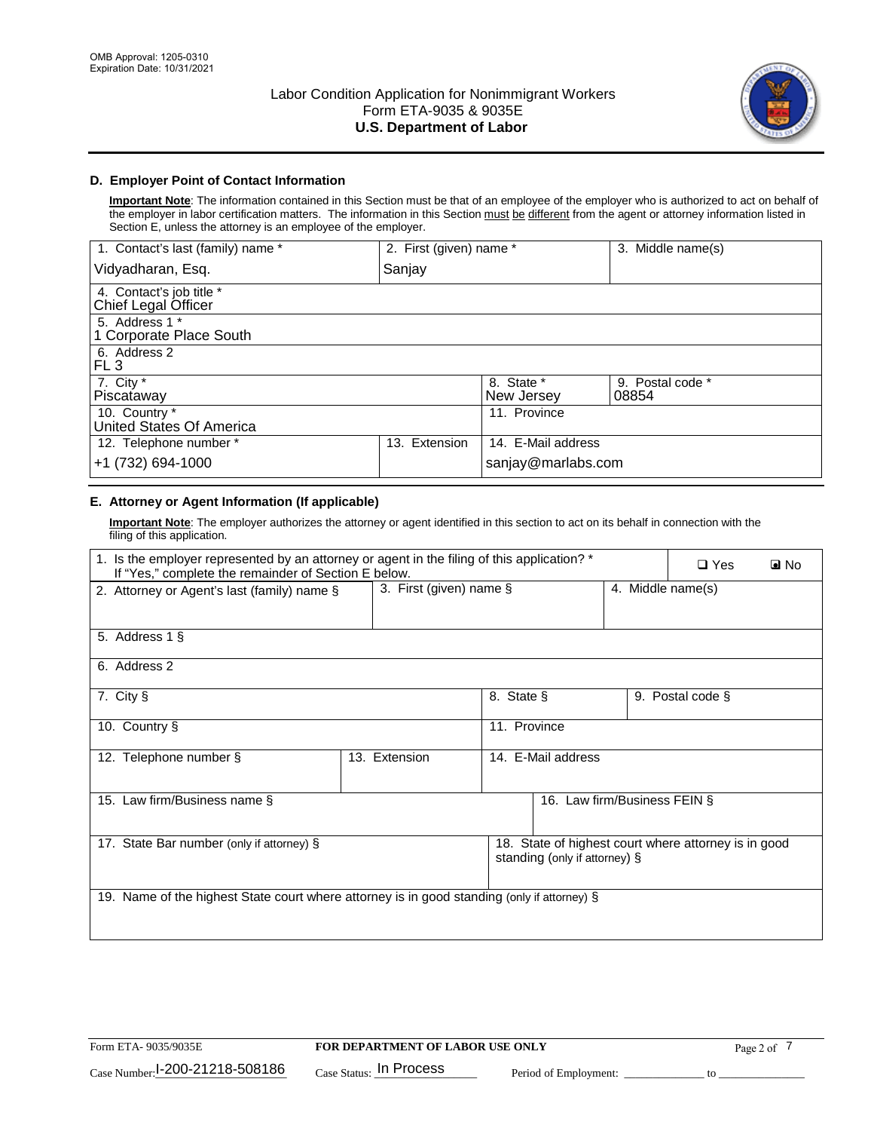

## **D. Employer Point of Contact Information**

**Important Note**: The information contained in this Section must be that of an employee of the employer who is authorized to act on behalf of the employer in labor certification matters. The information in this Section must be different from the agent or attorney information listed in Section E, unless the attorney is an employee of the employer.

| 1. Contact's last (family) name *               | 2. First (given) name * |                          | 3. Middle name(s)         |
|-------------------------------------------------|-------------------------|--------------------------|---------------------------|
| Vidyadharan, Esq.                               | Sanjay                  |                          |                           |
| 4. Contact's job title *<br>Chief Legal Officer |                         |                          |                           |
| 5. Address 1 *<br>1 Corporate Place South       |                         |                          |                           |
| 6. Address 2<br>FL 3                            |                         |                          |                           |
| 7. City $*$<br>Piscataway                       |                         | 8. State *<br>New Jersey | 9. Postal code *<br>08854 |
| 10. Country *<br>United States Of America       |                         | 11. Province             |                           |
| 12. Telephone number *                          | Extension<br>13.        | 14. E-Mail address       |                           |
| +1 (732) 694-1000                               |                         | sanjay@marlabs.com       |                           |

## **E. Attorney or Agent Information (If applicable)**

**Important Note**: The employer authorizes the attorney or agent identified in this section to act on its behalf in connection with the filing of this application.

| 1. Is the employer represented by an attorney or agent in the filing of this application? *<br>If "Yes," complete the remainder of Section E below. |               |                         |                               |                   | $\Box$ Yes                                           | <b>D</b> No |
|-----------------------------------------------------------------------------------------------------------------------------------------------------|---------------|-------------------------|-------------------------------|-------------------|------------------------------------------------------|-------------|
| 2. Attorney or Agent's last (family) name §                                                                                                         |               | 3. First (given) name § |                               | 4. Middle name(s) |                                                      |             |
| 5. Address 1 §                                                                                                                                      |               |                         |                               |                   |                                                      |             |
| 6. Address 2                                                                                                                                        |               |                         |                               |                   |                                                      |             |
| 7. City §                                                                                                                                           |               | 8. State §              |                               |                   | 9. Postal code §                                     |             |
| 10. Country §                                                                                                                                       |               | 11. Province            |                               |                   |                                                      |             |
| 12. Telephone number §                                                                                                                              | 13. Extension |                         | 14. E-Mail address            |                   |                                                      |             |
| 15. Law firm/Business name §                                                                                                                        |               |                         | 16. Law firm/Business FEIN §  |                   |                                                      |             |
| 17. State Bar number (only if attorney) §                                                                                                           |               |                         | standing (only if attorney) § |                   | 18. State of highest court where attorney is in good |             |
| 19. Name of the highest State court where attorney is in good standing (only if attorney) §                                                         |               |                         |                               |                   |                                                      |             |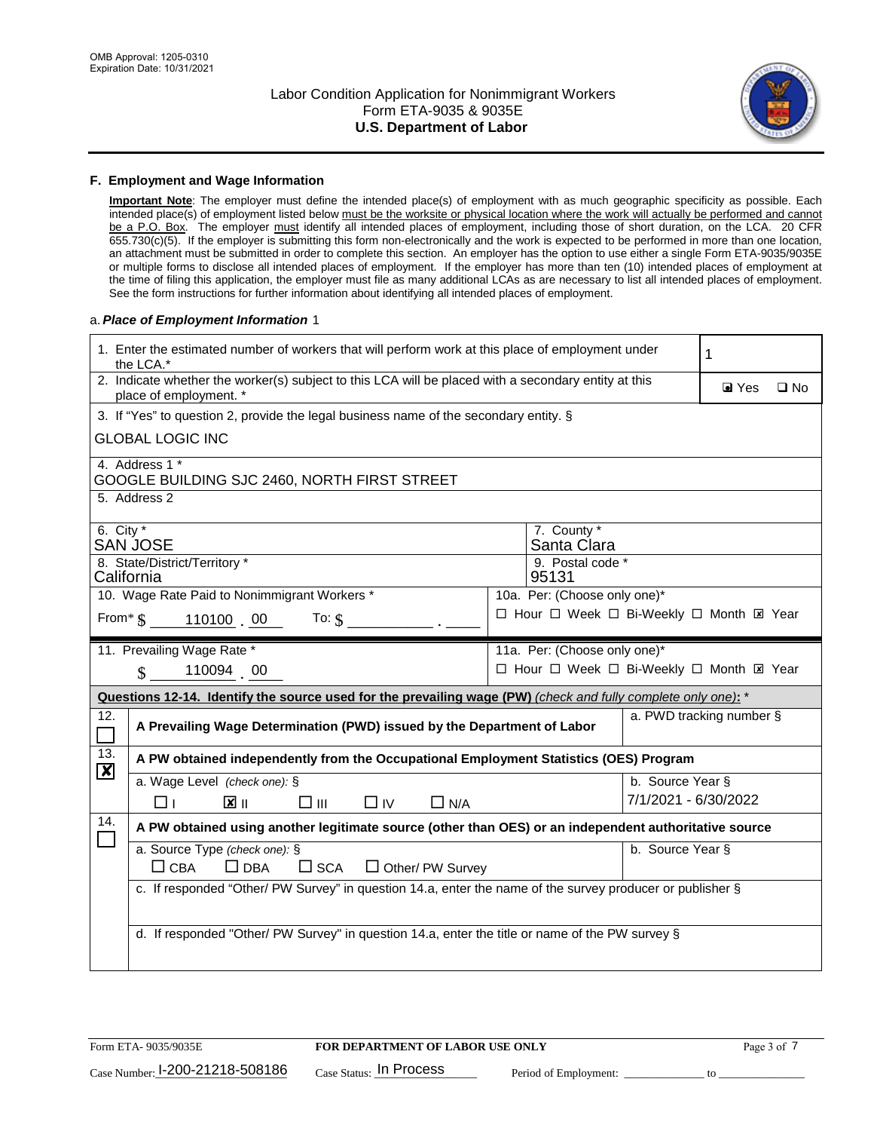

### **F. Employment and Wage Information**

**Important Note**: The employer must define the intended place(s) of employment with as much geographic specificity as possible. Each intended place(s) of employment listed below must be the worksite or physical location where the work will actually be performed and cannot be a P.O. Box. The employer must identify all intended places of employment, including those of short duration, on the LCA. 20 CFR 655.730(c)(5). If the employer is submitting this form non-electronically and the work is expected to be performed in more than one location, an attachment must be submitted in order to complete this section. An employer has the option to use either a single Form ETA-9035/9035E or multiple forms to disclose all intended places of employment. If the employer has more than ten (10) intended places of employment at the time of filing this application, the employer must file as many additional LCAs as are necessary to list all intended places of employment. See the form instructions for further information about identifying all intended places of employment.

### a.*Place of Employment Information* 1

| 1. Enter the estimated number of workers that will perform work at this place of employment under<br>the LCA.* | 1                                                                                                                              |  |                              |                      |                                           |  |  |
|----------------------------------------------------------------------------------------------------------------|--------------------------------------------------------------------------------------------------------------------------------|--|------------------------------|----------------------|-------------------------------------------|--|--|
|                                                                                                                | 2. Indicate whether the worker(s) subject to this LCA will be placed with a secondary entity at this<br>place of employment. * |  |                              |                      |                                           |  |  |
|                                                                                                                | 3. If "Yes" to question 2, provide the legal business name of the secondary entity. §                                          |  |                              |                      |                                           |  |  |
|                                                                                                                | <b>GLOBAL LOGIC INC</b>                                                                                                        |  |                              |                      |                                           |  |  |
|                                                                                                                | 4. Address 1 *<br>GOOGLE BUILDING SJC 2460, NORTH FIRST STREET                                                                 |  |                              |                      |                                           |  |  |
|                                                                                                                | 5. Address 2                                                                                                                   |  |                              |                      |                                           |  |  |
| 6. City $*$                                                                                                    | <b>SAN JOSE</b>                                                                                                                |  | 7. County *<br>Santa Clara   |                      |                                           |  |  |
|                                                                                                                | 8. State/District/Territory *<br>California                                                                                    |  | 9. Postal code *<br>95131    |                      |                                           |  |  |
|                                                                                                                | 10. Wage Rate Paid to Nonimmigrant Workers *                                                                                   |  | 10a. Per: (Choose only one)* |                      |                                           |  |  |
|                                                                                                                | From* \$110100 00<br>To: $$$                                                                                                   |  |                              |                      | □ Hour □ Week □ Bi-Weekly □ Month ⊠ Year  |  |  |
|                                                                                                                | 11. Prevailing Wage Rate *                                                                                                     |  | 11a. Per: (Choose only one)* |                      |                                           |  |  |
|                                                                                                                | 110094 00<br>$\mathbf{\hat{S}}$                                                                                                |  |                              |                      | □ Hour □ Week □ Bi-Weekly □ Month El Year |  |  |
|                                                                                                                | Questions 12-14. Identify the source used for the prevailing wage (PW) (check and fully complete only one): *                  |  |                              |                      |                                           |  |  |
| 12.<br>$\Box$                                                                                                  | A Prevailing Wage Determination (PWD) issued by the Department of Labor                                                        |  |                              |                      | a. PWD tracking number §                  |  |  |
| 13.<br>$\boldsymbol{\mathsf{X}}$                                                                               | A PW obtained independently from the Occupational Employment Statistics (OES) Program                                          |  |                              |                      |                                           |  |  |
|                                                                                                                | a. Wage Level (check one): §                                                                                                   |  |                              | b. Source Year §     |                                           |  |  |
|                                                                                                                | $\mathbf{X}$ II<br>$\square$ $\square$<br>$\Box$ IV<br>$\Box$ N/A<br>□⊥                                                        |  |                              | 7/1/2021 - 6/30/2022 |                                           |  |  |
| 14.                                                                                                            | A PW obtained using another legitimate source (other than OES) or an independent authoritative source                          |  |                              |                      |                                           |  |  |
|                                                                                                                | a. Source Type (check one): §<br>b. Source Year §<br>$\Box$ CBA<br>$\Box$ DBA<br>$\square$ SCA<br>$\Box$ Other/ PW Survey      |  |                              |                      |                                           |  |  |
|                                                                                                                | c. If responded "Other/ PW Survey" in question 14.a, enter the name of the survey producer or publisher §                      |  |                              |                      |                                           |  |  |
|                                                                                                                | d. If responded "Other/ PW Survey" in question 14.a, enter the title or name of the PW survey §                                |  |                              |                      |                                           |  |  |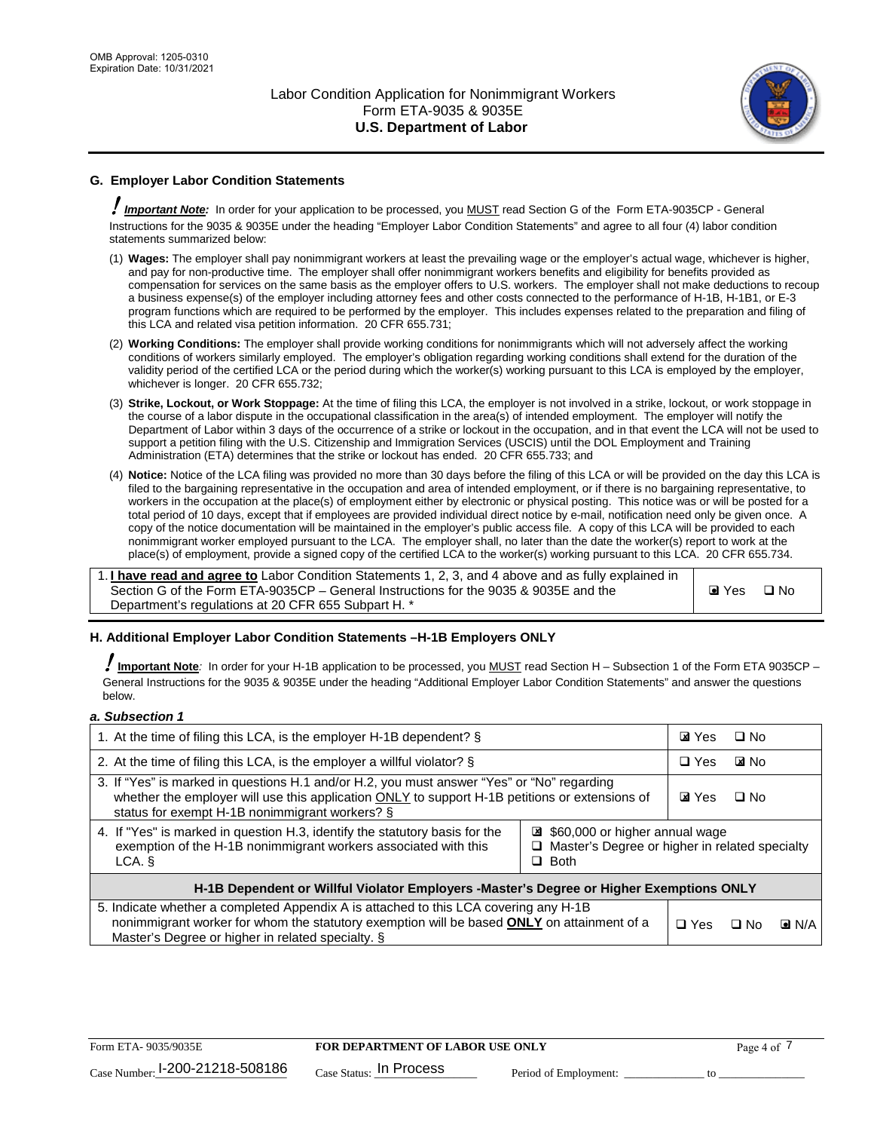

# **G. Employer Labor Condition Statements**

! *Important Note:* In order for your application to be processed, you MUST read Section G of the Form ETA-9035CP - General Instructions for the 9035 & 9035E under the heading "Employer Labor Condition Statements" and agree to all four (4) labor condition statements summarized below:

- (1) **Wages:** The employer shall pay nonimmigrant workers at least the prevailing wage or the employer's actual wage, whichever is higher, and pay for non-productive time. The employer shall offer nonimmigrant workers benefits and eligibility for benefits provided as compensation for services on the same basis as the employer offers to U.S. workers. The employer shall not make deductions to recoup a business expense(s) of the employer including attorney fees and other costs connected to the performance of H-1B, H-1B1, or E-3 program functions which are required to be performed by the employer. This includes expenses related to the preparation and filing of this LCA and related visa petition information. 20 CFR 655.731;
- (2) **Working Conditions:** The employer shall provide working conditions for nonimmigrants which will not adversely affect the working conditions of workers similarly employed. The employer's obligation regarding working conditions shall extend for the duration of the validity period of the certified LCA or the period during which the worker(s) working pursuant to this LCA is employed by the employer, whichever is longer. 20 CFR 655.732;
- (3) **Strike, Lockout, or Work Stoppage:** At the time of filing this LCA, the employer is not involved in a strike, lockout, or work stoppage in the course of a labor dispute in the occupational classification in the area(s) of intended employment. The employer will notify the Department of Labor within 3 days of the occurrence of a strike or lockout in the occupation, and in that event the LCA will not be used to support a petition filing with the U.S. Citizenship and Immigration Services (USCIS) until the DOL Employment and Training Administration (ETA) determines that the strike or lockout has ended. 20 CFR 655.733; and
- (4) **Notice:** Notice of the LCA filing was provided no more than 30 days before the filing of this LCA or will be provided on the day this LCA is filed to the bargaining representative in the occupation and area of intended employment, or if there is no bargaining representative, to workers in the occupation at the place(s) of employment either by electronic or physical posting. This notice was or will be posted for a total period of 10 days, except that if employees are provided individual direct notice by e-mail, notification need only be given once. A copy of the notice documentation will be maintained in the employer's public access file. A copy of this LCA will be provided to each nonimmigrant worker employed pursuant to the LCA. The employer shall, no later than the date the worker(s) report to work at the place(s) of employment, provide a signed copy of the certified LCA to the worker(s) working pursuant to this LCA. 20 CFR 655.734.

1. **I have read and agree to** Labor Condition Statements 1, 2, 3, and 4 above and as fully explained in Section G of the Form ETA-9035CP – General Instructions for the 9035 & 9035E and the Department's regulations at 20 CFR 655 Subpart H. \*

**O** Yes **D** No

### **H. Additional Employer Labor Condition Statements –H-1B Employers ONLY**

!**Important Note***:* In order for your H-1B application to be processed, you MUST read Section H – Subsection 1 of the Form ETA 9035CP – General Instructions for the 9035 & 9035E under the heading "Additional Employer Labor Condition Statements" and answer the questions below.

#### *a. Subsection 1*

| 1. At the time of filing this LCA, is the employer H-1B dependent? §                                                                                                                                                                           |                                                                                                   |  | $\square$ No |                    |  |
|------------------------------------------------------------------------------------------------------------------------------------------------------------------------------------------------------------------------------------------------|---------------------------------------------------------------------------------------------------|--|--------------|--------------------|--|
| 2. At the time of filing this LCA, is the employer a willful violator? $\S$                                                                                                                                                                    |                                                                                                   |  | <b>E</b> INo |                    |  |
| 3. If "Yes" is marked in questions H.1 and/or H.2, you must answer "Yes" or "No" regarding<br>whether the employer will use this application ONLY to support H-1B petitions or extensions of<br>status for exempt H-1B nonimmigrant workers? § |                                                                                                   |  | $\Box$ No    |                    |  |
| 4. If "Yes" is marked in question H.3, identify the statutory basis for the<br>exemption of the H-1B nonimmigrant workers associated with this<br>LCA.                                                                                         | \$60,000 or higher annual wage<br>□ Master's Degree or higher in related specialty<br>$\Box$ Both |  |              |                    |  |
| H-1B Dependent or Willful Violator Employers -Master's Degree or Higher Exemptions ONLY                                                                                                                                                        |                                                                                                   |  |              |                    |  |
| 5. Indicate whether a completed Appendix A is attached to this LCA covering any H-1B<br>nonimmigrant worker for whom the statutory exemption will be based <b>ONLY</b> on attainment of a<br>Master's Degree or higher in related specialty. § |                                                                                                   |  | ⊡ No         | $\blacksquare$ N/A |  |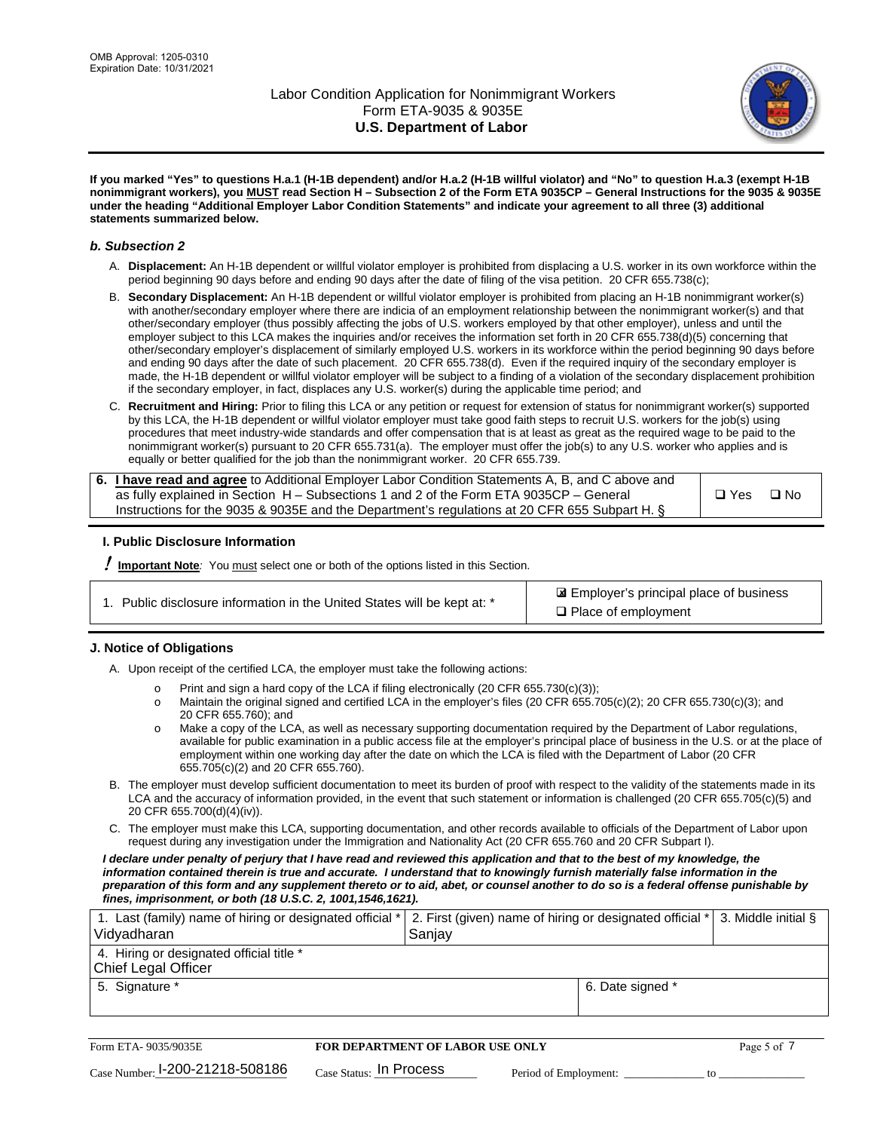

**If you marked "Yes" to questions H.a.1 (H-1B dependent) and/or H.a.2 (H-1B willful violator) and "No" to question H.a.3 (exempt H-1B nonimmigrant workers), you MUST read Section H – Subsection 2 of the Form ETA 9035CP – General Instructions for the 9035 & 9035E under the heading "Additional Employer Labor Condition Statements" and indicate your agreement to all three (3) additional statements summarized below.**

### *b. Subsection 2*

- A. **Displacement:** An H-1B dependent or willful violator employer is prohibited from displacing a U.S. worker in its own workforce within the period beginning 90 days before and ending 90 days after the date of filing of the visa petition. 20 CFR 655.738(c);
- B. **Secondary Displacement:** An H-1B dependent or willful violator employer is prohibited from placing an H-1B nonimmigrant worker(s) with another/secondary employer where there are indicia of an employment relationship between the nonimmigrant worker(s) and that other/secondary employer (thus possibly affecting the jobs of U.S. workers employed by that other employer), unless and until the employer subject to this LCA makes the inquiries and/or receives the information set forth in 20 CFR 655.738(d)(5) concerning that other/secondary employer's displacement of similarly employed U.S. workers in its workforce within the period beginning 90 days before and ending 90 days after the date of such placement. 20 CFR 655.738(d). Even if the required inquiry of the secondary employer is made, the H-1B dependent or willful violator employer will be subject to a finding of a violation of the secondary displacement prohibition if the secondary employer, in fact, displaces any U.S. worker(s) during the applicable time period; and
- C. **Recruitment and Hiring:** Prior to filing this LCA or any petition or request for extension of status for nonimmigrant worker(s) supported by this LCA, the H-1B dependent or willful violator employer must take good faith steps to recruit U.S. workers for the job(s) using procedures that meet industry-wide standards and offer compensation that is at least as great as the required wage to be paid to the nonimmigrant worker(s) pursuant to 20 CFR 655.731(a). The employer must offer the job(s) to any U.S. worker who applies and is equally or better qualified for the job than the nonimmigrant worker. 20 CFR 655.739.

| 6. I have read and agree to Additional Employer Labor Condition Statements A, B, and C above and |       |      |
|--------------------------------------------------------------------------------------------------|-------|------|
| as fully explained in Section H – Subsections 1 and 2 of the Form ETA 9035CP – General           | □ Yes | ⊟ No |
| Instructions for the 9035 & 9035E and the Department's regulations at 20 CFR 655 Subpart H. §    |       |      |

### **I. Public Disclosure Information**

! **Important Note***:* You must select one or both of the options listed in this Section.

 Employer's principal place of business ✘ □ Place of employment

### **J. Notice of Obligations**

A. Upon receipt of the certified LCA, the employer must take the following actions:

- o Print and sign a hard copy of the LCA if filing electronically (20 CFR 655.730(c)(3));<br>
Maintain the original signed and certified LCA in the employer's files (20 CFR 655.7
- Maintain the original signed and certified LCA in the employer's files (20 CFR 655.705(c)(2); 20 CFR 655.730(c)(3); and 20 CFR 655.760); and
- o Make a copy of the LCA, as well as necessary supporting documentation required by the Department of Labor regulations, available for public examination in a public access file at the employer's principal place of business in the U.S. or at the place of employment within one working day after the date on which the LCA is filed with the Department of Labor (20 CFR 655.705(c)(2) and 20 CFR 655.760).
- B. The employer must develop sufficient documentation to meet its burden of proof with respect to the validity of the statements made in its LCA and the accuracy of information provided, in the event that such statement or information is challenged (20 CFR 655.705(c)(5) and 20 CFR 655.700(d)(4)(iv)).
- C. The employer must make this LCA, supporting documentation, and other records available to officials of the Department of Labor upon request during any investigation under the Immigration and Nationality Act (20 CFR 655.760 and 20 CFR Subpart I).

*I declare under penalty of perjury that I have read and reviewed this application and that to the best of my knowledge, the*  information contained therein is true and accurate. I understand that to knowingly furnish materially false information in the *preparation of this form and any supplement thereto or to aid, abet, or counsel another to do so is a federal offense punishable by fines, imprisonment, or both (18 U.S.C. 2, 1001,1546,1621).*

| 1. Last (family) name of hiring or designated official *   2. First (given) name of hiring or designated official *   3. Middle initial §<br>Vidyadharan | Saniav           |  |
|----------------------------------------------------------------------------------------------------------------------------------------------------------|------------------|--|
| 4. Hiring or designated official title *<br>Chief Legal Officer                                                                                          |                  |  |
| 5. Signature *                                                                                                                                           | 6. Date signed * |  |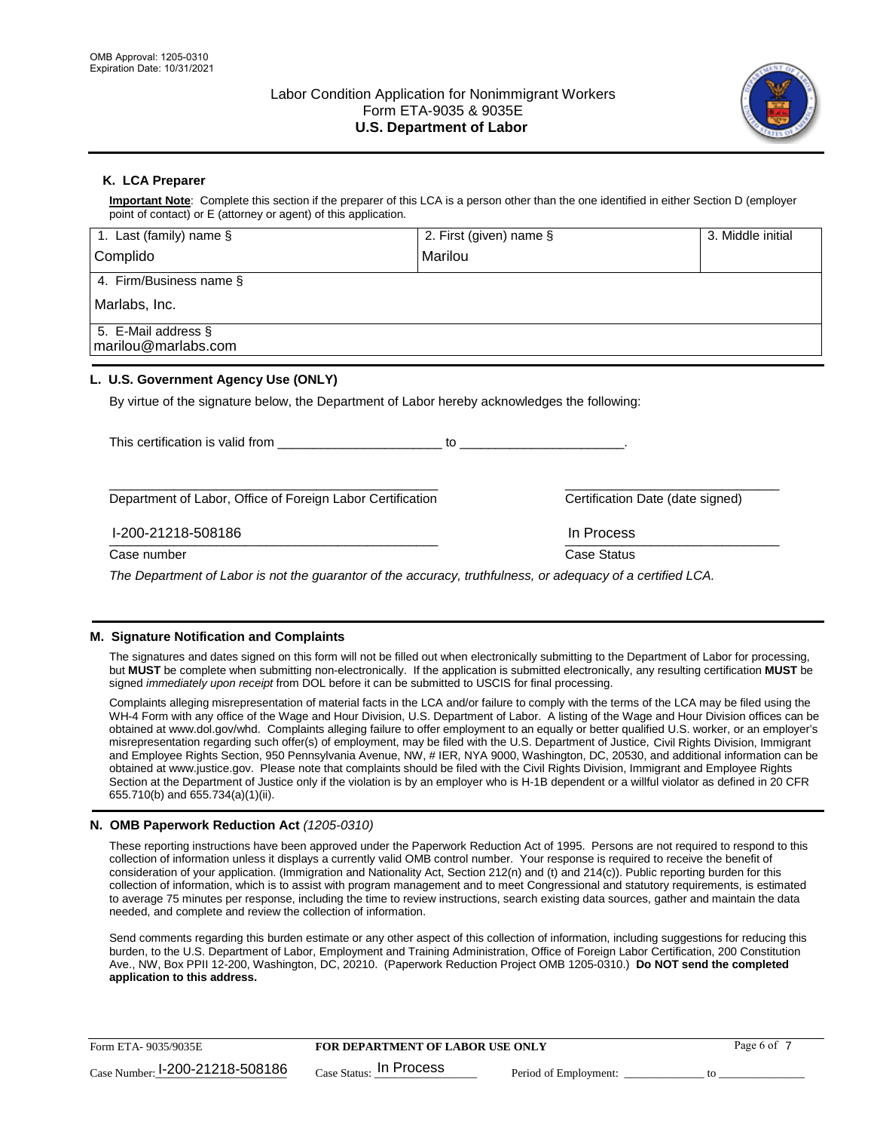

## **K. LCA Preparer**

**Important Note**: Complete this section if the preparer of this LCA is a person other than the one identified in either Section D (employer point of contact) or E (attorney or agent) of this application.

| 1. Last (family) name $\S$                                                                   | 2. First (given) name §                                                                                                                                                                                                        | 3. Middle initial |
|----------------------------------------------------------------------------------------------|--------------------------------------------------------------------------------------------------------------------------------------------------------------------------------------------------------------------------------|-------------------|
| Complido                                                                                     | Marilou                                                                                                                                                                                                                        |                   |
| 4. Firm/Business name §                                                                      |                                                                                                                                                                                                                                |                   |
| Marlabs, Inc.                                                                                |                                                                                                                                                                                                                                |                   |
| 5. E-Mail address §<br>marilou@marlabs.com                                                   |                                                                                                                                                                                                                                |                   |
| L. U.S. Government Agency Use (ONLY)                                                         |                                                                                                                                                                                                                                |                   |
| By virtue of the signature below, the Department of Labor hereby acknowledges the following: |                                                                                                                                                                                                                                |                   |
| This certification is valid from                                                             | to the contract of the contract of the contract of the contract of the contract of the contract of the contract of the contract of the contract of the contract of the contract of the contract of the contract of the contrac |                   |
| Department of Labor, Office of Foreign Labor Certification                                   | Certification Date (date signed)                                                                                                                                                                                               |                   |

 $\frac{1111100688}{1111100688}$ I-200-21218-508186 In Process

Case number **Case Status** Case Status **Case Status** 

*The Department of Labor is not the guarantor of the accuracy, truthfulness, or adequacy of a certified LCA.*

### **M. Signature Notification and Complaints**

The signatures and dates signed on this form will not be filled out when electronically submitting to the Department of Labor for processing, but **MUST** be complete when submitting non-electronically. If the application is submitted electronically, any resulting certification **MUST** be signed *immediately upon receipt* from DOL before it can be submitted to USCIS for final processing.

Complaints alleging misrepresentation of material facts in the LCA and/or failure to comply with the terms of the LCA may be filed using the WH-4 Form with any office of the Wage and Hour Division, U.S. Department of Labor. A listing of the Wage and Hour Division offices can be obtained at www.dol.gov/whd. Complaints alleging failure to offer employment to an equally or better qualified U.S. worker, or an employer's misrepresentation regarding such offer(s) of employment, may be filed with the U.S. Department of Justice, Civil Rights Division, Immigrant and Employee Rights Section, 950 Pennsylvania Avenue, NW, # IER, NYA 9000, Washington, DC, 20530, and additional information can be obtained at www.justice.gov. Please note that complaints should be filed with the Civil Rights Division, Immigrant and Employee Rights Section at the Department of Justice only if the violation is by an employer who is H-1B dependent or a willful violator as defined in 20 CFR 655.710(b) and 655.734(a)(1)(ii).

### **N. OMB Paperwork Reduction Act** *(1205-0310)*

These reporting instructions have been approved under the Paperwork Reduction Act of 1995. Persons are not required to respond to this collection of information unless it displays a currently valid OMB control number. Your response is required to receive the benefit of consideration of your application. (Immigration and Nationality Act, Section 212(n) and (t) and 214(c)). Public reporting burden for this collection of information, which is to assist with program management and to meet Congressional and statutory requirements, is estimated to average 75 minutes per response, including the time to review instructions, search existing data sources, gather and maintain the data needed, and complete and review the collection of information.

Send comments regarding this burden estimate or any other aspect of this collection of information, including suggestions for reducing this burden, to the U.S. Department of Labor, Employment and Training Administration, Office of Foreign Labor Certification, 200 Constitution Ave., NW, Box PPII 12-200, Washington, DC, 20210. (Paperwork Reduction Project OMB 1205-0310.) **Do NOT send the completed application to this address.**

| Form ETA-9035/9035E                         | <b>FOR DEPARTMENT OF LABOR USE ONLY</b> |                       | Page 6 of |
|---------------------------------------------|-----------------------------------------|-----------------------|-----------|
| $_{\text{Case Number:}}$ I-200-21218-508186 | $_{\rm Case~S status:}$ In Process      | Period of Employment: |           |